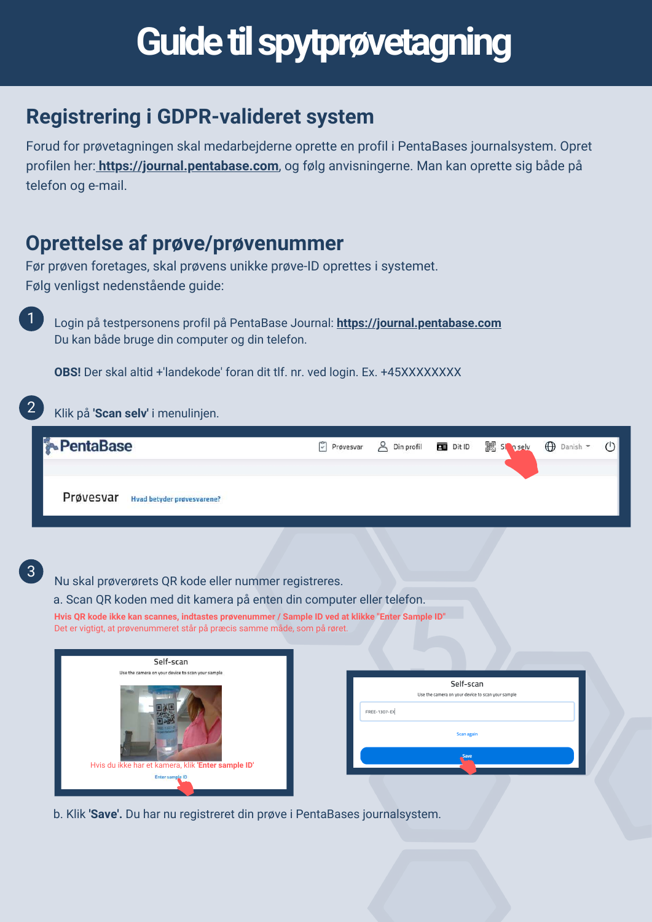# **Guide til spytprøvetagning**

### **Registrering i GDPR-valideret system**

Forud for prøvetagningen skal medarbejderne oprette en profil i PentaBases journalsystem. Opret profilen her: **[https://journal.pentabase.com](https://journal.pentabase.com/)**, og følg anvisningerne. Man kan oprette sig både på telefon og e-mail.

### **Oprettelse af prøve/prøvenummer**

Før prøven foretages, skal prøvens unikke prøve-ID oprettes i systemet. Følg venligst nedenstående guide:

Login på testpersonens profil på PentaBase Journal: **[https://journal.pentabase.com](https://journal.pentabase.com/account/welcome)** Du kan både bruge din computer og din telefon.

**OBS!** Der skal altid +'landekode' foran dit tlf. nr. ved login. Ex. +45XXXXXXXX

#### Klik på **'Scan selv'** i menulinjen. 2





1

Nu skal prøverørets QR kode eller nummer registreres.

a. Scan QR koden med dit kamera på enten din computer eller telefon.

**Hvis QR kode ikke kan scannes, indtastes prøvenummer / Sample ID ved at klikke "Enter Sample ID"** Det er vigtigt, at prøvenummeret står på præcis samme måde, som på røret.



b. Klik **'Save'.** Du har nu registreret din prøve i PentaBases journalsystem.